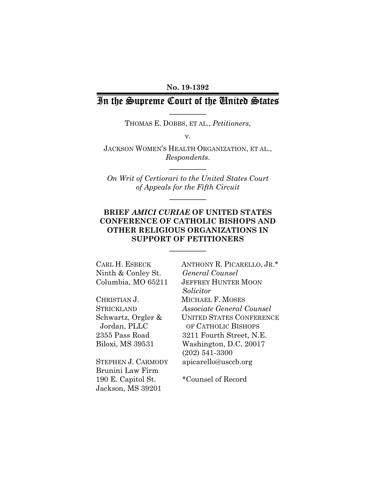#### No. 19-1392

# In the Supreme Court of the United States  $\frac{1}{2}$

THOMAS E. DOBBS, ET AL., Petitioners,

v.

JACKSON WOMEN'S HEALTH ORGANIZATION, ET AL., Respondents.

 $\mathcal{L}_\text{max}$ 

On Writ of Certiorari to the United States Court of Appeals for the Fifth Circuit

 $\mathcal{L}_\text{max}$ 

## BRIEF AMICI CURIAE OF UNITED STATES CONFERENCE OF CATHOLIC BISHOPS AND OTHER RELIGIOUS ORGANIZATIONS IN SUPPORT OF PETITIONERS

 $\mathcal{L}_\text{max}$ 

| CARL H. ESBECK            | ANTHONY R. PICARELLO, JR.*      |
|---------------------------|---------------------------------|
| Ninth & Conley St.        | General Counsel                 |
| Columbia, MO 65211        | <b>JEFFREY HUNTER MOON</b>      |
|                           | Solicitor                       |
| CHRISTIAN J.              | MICHAEL F. MOSES                |
| <b>STRICKLAND</b>         | Associate General Counsel       |
| Schwartz, Orgler &        | <b>UNITED STATES CONFERENCE</b> |
| Jordan, PLLC              | OF CATHOLIC BISHOPS             |
| 2355 Pass Road            | 3211 Fourth Street, N.E.        |
| Biloxi, MS 39531          | Washington, D.C. 20017          |
|                           | $(202)$ 541-3300                |
| <b>STEPHEN J. CARMODY</b> | apicarello@usccb.org            |
| Brunini Law Firm          |                                 |
| 190 E. Capitol St.        | *Counsel of Record              |

Jackson, MS 39201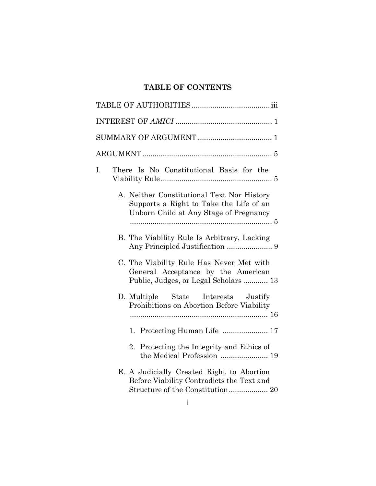# TABLE OF CONTENTS

| I.<br>There Is No Constitutional Basis for the                                                                                  |  |  |  |  |
|---------------------------------------------------------------------------------------------------------------------------------|--|--|--|--|
| A. Neither Constitutional Text Nor History<br>Supports a Right to Take the Life of an<br>Unborn Child at Any Stage of Pregnancy |  |  |  |  |
| B. The Viability Rule Is Arbitrary, Lacking                                                                                     |  |  |  |  |
| C. The Viability Rule Has Never Met with<br>General Acceptance by the American<br>Public, Judges, or Legal Scholars  13         |  |  |  |  |
| D. Multiple State Interests Justify<br>Prohibitions on Abortion Before Viability                                                |  |  |  |  |
|                                                                                                                                 |  |  |  |  |
| 2. Protecting the Integrity and Ethics of<br>the Medical Profession  19                                                         |  |  |  |  |
| E. A Judicially Created Right to Abortion<br>Before Viability Contradicts the Text and                                          |  |  |  |  |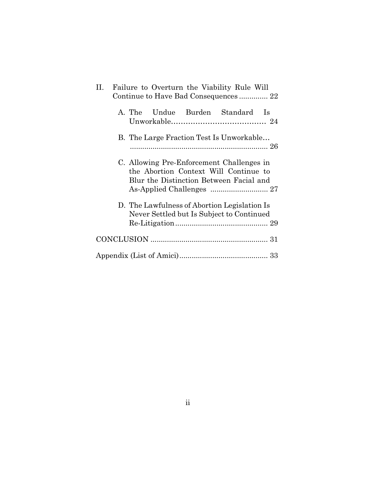| П. –                                                                                                                                                                                                                                                                   | Failure to Overturn the Viability Rule Will  |  |  |  |  |  |  |  |
|------------------------------------------------------------------------------------------------------------------------------------------------------------------------------------------------------------------------------------------------------------------------|----------------------------------------------|--|--|--|--|--|--|--|
| Continue to Have Bad Consequences 22                                                                                                                                                                                                                                   |                                              |  |  |  |  |  |  |  |
|                                                                                                                                                                                                                                                                        | Undue Burden Standard<br>A. The<br><b>Is</b> |  |  |  |  |  |  |  |
| B. The Large Fraction Test Is Unworkable<br>C. Allowing Pre-Enforcement Challenges in<br>the Abortion Context Will Continue to<br>Blur the Distinction Between Facial and<br>D. The Lawfulness of Abortion Legislation Is<br>Never Settled but Is Subject to Continued |                                              |  |  |  |  |  |  |  |
|                                                                                                                                                                                                                                                                        |                                              |  |  |  |  |  |  |  |
|                                                                                                                                                                                                                                                                        |                                              |  |  |  |  |  |  |  |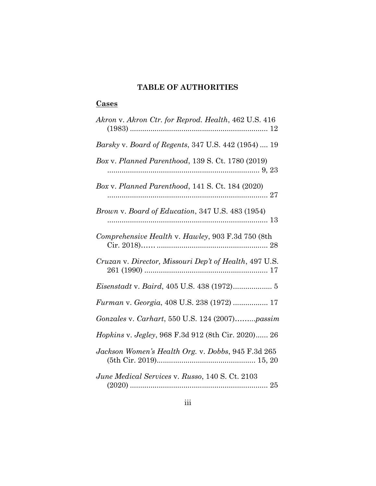# TABLE OF AUTHORITIES

# **Cases**

| Akron v. Akron Ctr. for Reprod. Health, 462 U.S. 416   |
|--------------------------------------------------------|
| Barsky v. Board of Regents, 347 U.S. 442 (1954)  19    |
| Box v. Planned Parenthood, 139 S. Ct. 1780 (2019)      |
| Box v. Planned Parenthood, 141 S. Ct. 184 (2020)       |
| Brown v. Board of Education, 347 U.S. 483 (1954)       |
| Comprehensive Health v. Hawley, 903 F.3d 750 (8th      |
| Cruzan v. Director, Missouri Dep't of Health, 497 U.S. |
|                                                        |
| Furman v. Georgia, 408 U.S. 238 (1972)  17             |
| Gonzales v. Carhart, 550 U.S. 124 (2007)passim         |
| Hopkins v. Jegley, 968 F.3d 912 (8th Cir. 2020) 26     |
| Jackson Women's Health Org. v. Dobbs, 945 F.3d 265     |
| June Medical Services v. Russo, 140 S. Ct. 2103        |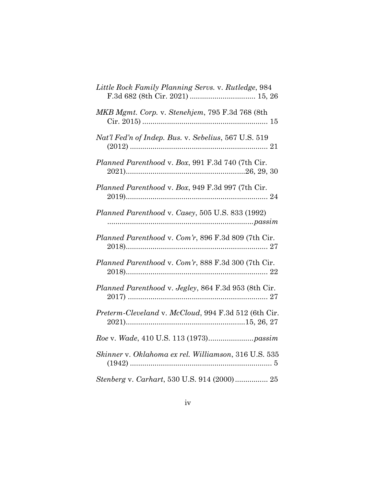| Little Rock Family Planning Servs. v. Rutledge, 984  |
|------------------------------------------------------|
| MKB Mgmt. Corp. v. Stenehjem, 795 F.3d 768 (8th      |
| Nat'l Fed'n of Indep. Bus. v. Sebelius, 567 U.S. 519 |
| Planned Parenthood v. Box, 991 F.3d 740 (7th Cir.    |
| Planned Parenthood v. Box, 949 F.3d 997 (7th Cir.    |
| Planned Parenthood v. Casey, 505 U.S. 833 (1992)     |
| Planned Parenthood v. Com'r, 896 F.3d 809 (7th Cir.  |
| Planned Parenthood v. Com'r, 888 F.3d 300 (7th Cir.  |
| Planned Parenthood v. Jegley, 864 F.3d 953 (8th Cir. |
| Preterm-Cleveland v. McCloud, 994 F.3d 512 (6th Cir. |
|                                                      |
| Skinner v. Oklahoma ex rel. Williamson, 316 U.S. 535 |
| Stenberg v. Carhart, 530 U.S. 914 (2000) 25          |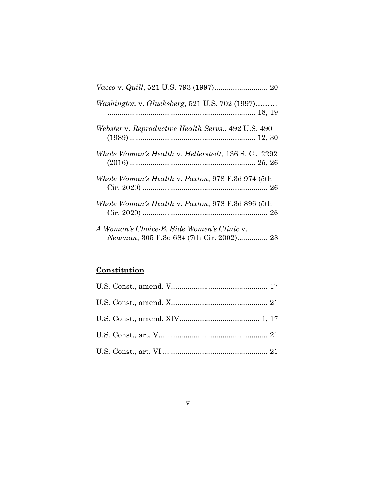| <i>Washington v. Glucksberg, 521 U.S. 702 (1997)</i>                                  |
|---------------------------------------------------------------------------------------|
| Webster v. Reproductive Health Servs., 492 U.S. 490                                   |
| Whole Woman's Health v. Hellerstedt, 136 S. Ct. 2292                                  |
| Whole Woman's Health v. Paxton, 978 F.3d 974 (5th                                     |
| Whole Woman's Health v. Paxton, 978 F.3d 896 (5th                                     |
| A Woman's Choice-E. Side Women's Clinic v.<br>Newman, 305 F.3d 684 (7th Cir. 2002) 28 |

# **Constitution**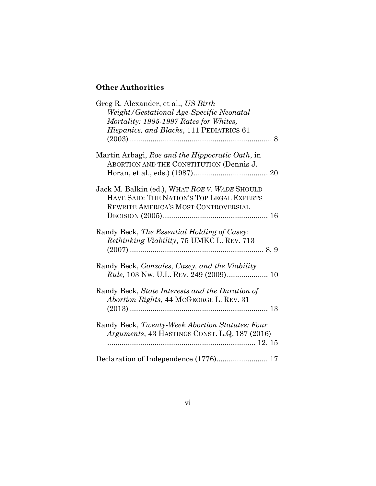# **Other Authorities**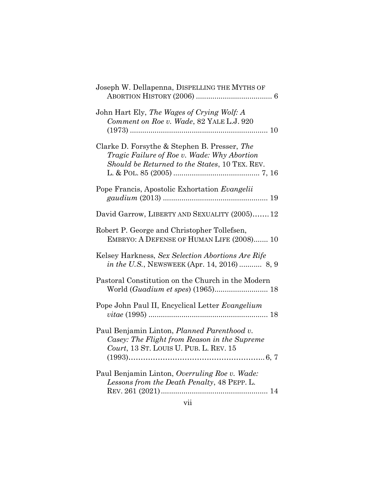| Joseph W. Dellapenna, DISPELLING THE MYTHS OF                                                                                                 |
|-----------------------------------------------------------------------------------------------------------------------------------------------|
| John Hart Ely, The Wages of Crying Wolf: A<br>Comment on Roe v. Wade, 82 YALE L.J. 920                                                        |
| Clarke D. Forsythe & Stephen B. Presser, The<br>Tragic Failure of Roe v. Wade: Why Abortion<br>Should be Returned to the States, 10 TEX. REV. |
| Pope Francis, Apostolic Exhortation Evangelii                                                                                                 |
| David Garrow, LIBERTY AND SEXUALITY (2005) 12                                                                                                 |
| Robert P. George and Christopher Tollefsen,<br>EMBRYO: A DEFENSE OF HUMAN LIFE (2008) 10                                                      |
| Kelsey Harkness, Sex Selection Abortions Are Rife<br>in the U.S., NEWSWEEK (Apr. 14, 2016)  8, 9                                              |
| Pastoral Constitution on the Church in the Modern                                                                                             |
| Pope John Paul II, Encyclical Letter Evangelium                                                                                               |
| Paul Benjamin Linton, Planned Parenthood v.<br>Casey: The Flight from Reason in the Supreme<br>Court, 13 ST. LOUIS U. PUB. L. REV. 15         |
| Paul Benjamin Linton, Overruling Roe v. Wade:<br>Lessons from the Death Penalty, 48 PEPP. L.                                                  |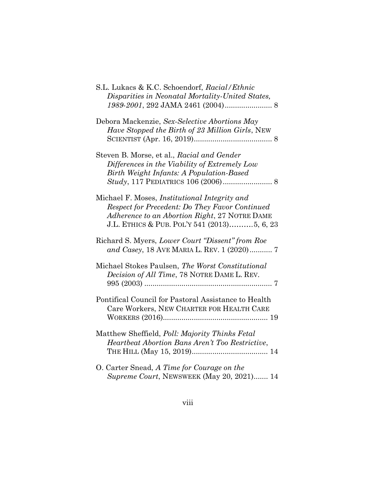| S.L. Lukacs & K.C. Schoendorf, Racial/Ethnic<br>Disparities in Neonatal Mortality-United States,                                                                                                       |
|--------------------------------------------------------------------------------------------------------------------------------------------------------------------------------------------------------|
| Debora Mackenzie, Sex-Selective Abortions May<br>Have Stopped the Birth of 23 Million Girls, NEW                                                                                                       |
| Steven B. Morse, et al., Racial and Gender<br>Differences in the Viability of Extremely Low<br>Birth Weight Infants: A Population-Based                                                                |
| Michael F. Moses, <i>Institutional Integrity and</i><br>Respect for Precedent: Do They Favor Continued<br>Adherence to an Abortion Right, 27 NOTRE DAME<br>J.L. ETHICS & PUB. POL'Y 541 (2013)5, 6, 23 |
| Richard S. Myers, Lower Court "Dissent" from Roe<br>and Casey, 18 AVE MARIA L. REV. 1 (2020) 7                                                                                                         |
| Michael Stokes Paulsen, The Worst Constitutional<br>Decision of All Time, 78 NOTRE DAME L. REV.                                                                                                        |
| Pontifical Council for Pastoral Assistance to Health<br>Care Workers, NEW CHARTER FOR HEALTH CARE                                                                                                      |
| Matthew Sheffield, <i>Poll: Majority Thinks Fetal</i><br>Heartbeat Abortion Bans Aren't Too Restrictive,                                                                                               |
| O. Carter Snead, A Time for Courage on the<br>Supreme Court, NEWSWEEK (May 20, 2021) 14                                                                                                                |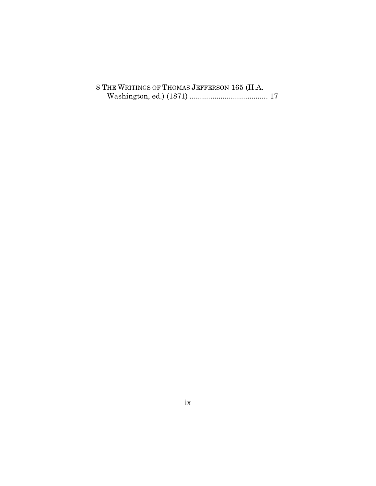|  |  |  | 8 THE WRITINGS OF THOMAS JEFFERSON 165 (H.A. |  |  |
|--|--|--|----------------------------------------------|--|--|
|  |  |  |                                              |  |  |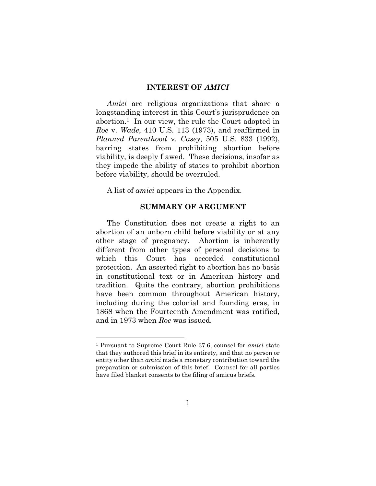#### INTEREST OF AMICI

Amici are religious organizations that share a longstanding interest in this Court's jurisprudence on abortion.1 In our view, the rule the Court adopted in Roe v. Wade, 410 U.S. 113 (1973), and reaffirmed in Planned Parenthood v. Casey, 505 U.S. 833 (1992), barring states from prohibiting abortion before viability, is deeply flawed. These decisions, insofar as they impede the ability of states to prohibit abortion before viability, should be overruled.

A list of amici appears in the Appendix.

### SUMMARY OF ARGUMENT

The Constitution does not create a right to an abortion of an unborn child before viability or at any other stage of pregnancy. Abortion is inherently different from other types of personal decisions to which this Court has accorded constitutional protection. An asserted right to abortion has no basis in constitutional text or in American history and tradition. Quite the contrary, abortion prohibitions have been common throughout American history, including during the colonial and founding eras, in 1868 when the Fourteenth Amendment was ratified, and in 1973 when Roe was issued.

<sup>1</sup> Pursuant to Supreme Court Rule 37.6, counsel for amici state that they authored this brief in its entirety, and that no person or entity other than amici made a monetary contribution toward the preparation or submission of this brief. Counsel for all parties have filed blanket consents to the filing of amicus briefs.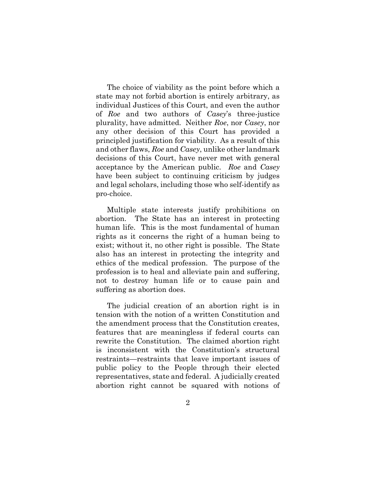The choice of viability as the point before which a state may not forbid abortion is entirely arbitrary, as individual Justices of this Court, and even the author of Roe and two authors of Casey's three-justice plurality, have admitted. Neither Roe, nor Casey, nor any other decision of this Court has provided a principled justification for viability. As a result of this and other flaws, Roe and Casey, unlike other landmark decisions of this Court, have never met with general acceptance by the American public. Roe and Casey have been subject to continuing criticism by judges and legal scholars, including those who self-identify as pro-choice.

Multiple state interests justify prohibitions on abortion. The State has an interest in protecting human life. This is the most fundamental of human rights as it concerns the right of a human being to exist; without it, no other right is possible. The State also has an interest in protecting the integrity and ethics of the medical profession. The purpose of the profession is to heal and alleviate pain and suffering, not to destroy human life or to cause pain and suffering as abortion does.

The judicial creation of an abortion right is in tension with the notion of a written Constitution and the amendment process that the Constitution creates, features that are meaningless if federal courts can rewrite the Constitution. The claimed abortion right is inconsistent with the Constitution's structural restraints—restraints that leave important issues of public policy to the People through their elected representatives, state and federal. A judicially created abortion right cannot be squared with notions of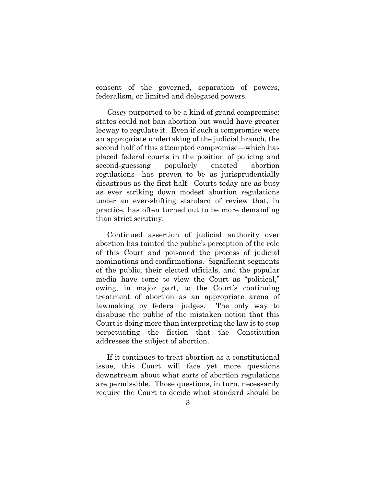consent of the governed, separation of powers, federalism, or limited and delegated powers.

Casey purported to be a kind of grand compromise: states could not ban abortion but would have greater leeway to regulate it. Even if such a compromise were an appropriate undertaking of the judicial branch, the second half of this attempted compromise—which has placed federal courts in the position of policing and second-guessing popularly enacted abortion regulations—has proven to be as jurisprudentially disastrous as the first half. Courts today are as busy as ever striking down modest abortion regulations under an ever-shifting standard of review that, in practice, has often turned out to be more demanding than strict scrutiny.

Continued assertion of judicial authority over abortion has tainted the public's perception of the role of this Court and poisoned the process of judicial nominations and confirmations. Significant segments of the public, their elected officials, and the popular media have come to view the Court as "political," owing, in major part, to the Court's continuing treatment of abortion as an appropriate arena of lawmaking by federal judges. The only way to disabuse the public of the mistaken notion that this Court is doing more than interpreting the law is to stop perpetuating the fiction that the Constitution addresses the subject of abortion.

If it continues to treat abortion as a constitutional issue, this Court will face yet more questions downstream about what sorts of abortion regulations are permissible. Those questions, in turn, necessarily require the Court to decide what standard should be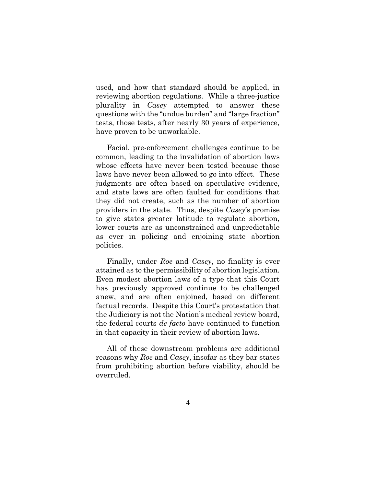used, and how that standard should be applied, in reviewing abortion regulations. While a three-justice plurality in Casey attempted to answer these questions with the "undue burden" and "large fraction" tests, those tests, after nearly 30 years of experience, have proven to be unworkable.

Facial, pre-enforcement challenges continue to be common, leading to the invalidation of abortion laws whose effects have never been tested because those laws have never been allowed to go into effect. These judgments are often based on speculative evidence, and state laws are often faulted for conditions that they did not create, such as the number of abortion providers in the state. Thus, despite Casey's promise to give states greater latitude to regulate abortion, lower courts are as unconstrained and unpredictable as ever in policing and enjoining state abortion policies.

Finally, under Roe and Casey, no finality is ever attained as to the permissibility of abortion legislation. Even modest abortion laws of a type that this Court has previously approved continue to be challenged anew, and are often enjoined, based on different factual records. Despite this Court's protestation that the Judiciary is not the Nation's medical review board, the federal courts de facto have continued to function in that capacity in their review of abortion laws.

All of these downstream problems are additional reasons why Roe and Casey, insofar as they bar states from prohibiting abortion before viability, should be overruled.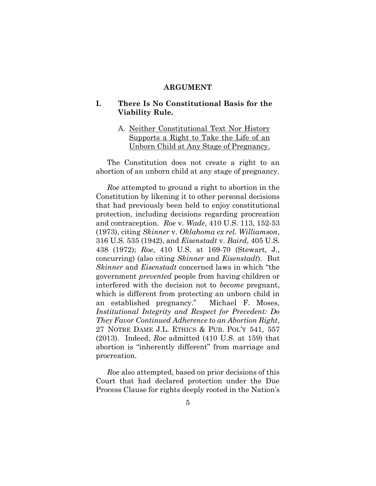#### ARGUMENT

## I. There Is No Constitutional Basis for the Viability Rule.

## A. Neither Constitutional Text Nor History Supports a Right to Take the Life of an Unborn Child at Any Stage of Pregnancy.

The Constitution does not create a right to an abortion of an unborn child at any stage of pregnancy.

Roe attempted to ground a right to abortion in the Constitution by likening it to other personal decisions that had previously been held to enjoy constitutional protection, including decisions regarding procreation and contraception. Roe v. Wade, 410 U.S. 113, 152-53 (1973), citing Skinner v. Oklahoma ex rel. Williamson, 316 U.S. 535 (1942), and Eisenstadt v. Baird, 405 U.S. 438 (1972); Roe, 410 U.S. at 169-70 (Stewart, J., concurring) (also citing Skinner and Eisenstadt). But Skinner and *Eisenstadt* concerned laws in which "the government prevented people from having children or interfered with the decision not to become pregnant, which is different from protecting an unborn child in an established pregnancy." Michael F. Moses, Institutional Integrity and Respect for Precedent: Do They Favor Continued Adherence to an Abortion Right, 27 NOTRE DAME J.L. ETHICS & PUB. POL'Y 541, 557 (2013). Indeed, Roe admitted (410 U.S. at 159) that abortion is "inherently different" from marriage and procreation.

Roe also attempted, based on prior decisions of this Court that had declared protection under the Due Process Clause for rights deeply rooted in the Nation's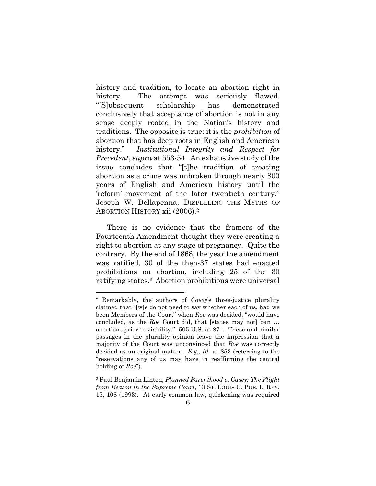history and tradition, to locate an abortion right in history. The attempt was seriously flawed. "[S]ubsequent scholarship has demonstrated conclusively that acceptance of abortion is not in any sense deeply rooted in the Nation's history and traditions. The opposite is true: it is the prohibition of abortion that has deep roots in English and American history." Institutional Integrity and Respect for Precedent, supra at 553-54. An exhaustive study of the issue concludes that "[t]he tradition of treating abortion as a crime was unbroken through nearly 800 years of English and American history until the 'reform' movement of the later twentieth century." Joseph W. Dellapenna, DISPELLING THE MYTHS OF ABORTION HISTORY xii (2006).<sup>2</sup>

There is no evidence that the framers of the Fourteenth Amendment thought they were creating a right to abortion at any stage of pregnancy. Quite the contrary. By the end of 1868, the year the amendment was ratified, 30 of the then-37 states had enacted prohibitions on abortion, including 25 of the 30 ratifying states.3 Abortion prohibitions were universal

<sup>2</sup> Remarkably, the authors of Casey's three-justice plurality claimed that "[w]e do not need to say whether each of us, had we been Members of the Court" when Roe was decided, "would have concluded, as the Roe Court did, that [states may not] ban … abortions prior to viability." 505 U.S. at 871. These and similar passages in the plurality opinion leave the impression that a majority of the Court was unconvinced that Roe was correctly decided as an original matter. E.g., id. at 853 (referring to the "reservations any of us may have in reaffirming the central holding of Roe").

<sup>&</sup>lt;sup>3</sup> Paul Benjamin Linton, *Planned Parenthood v. Casey: The Flight* from Reason in the Supreme Court, 13 ST. LOUIS U. PUB. L. REV. 15, 108 (1993). At early common law, quickening was required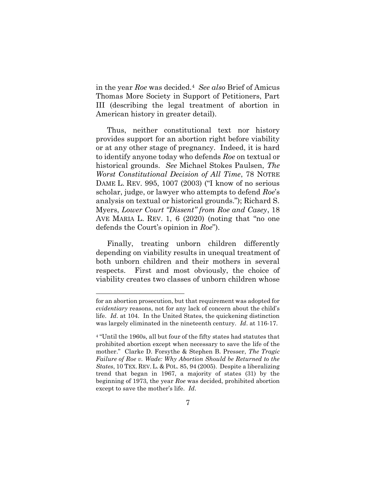in the year Roe was decided.<sup>4</sup> See also Brief of Amicus Thomas More Society in Support of Petitioners, Part III (describing the legal treatment of abortion in American history in greater detail).

Thus, neither constitutional text nor history provides support for an abortion right before viability or at any other stage of pregnancy. Indeed, it is hard to identify anyone today who defends Roe on textual or historical grounds. See Michael Stokes Paulsen, The Worst Constitutional Decision of All Time, 78 NOTRE DAME L. REV. 995, 1007 (2003) ("I know of no serious scholar, judge, or lawyer who attempts to defend Roe's analysis on textual or historical grounds."); Richard S. Myers, Lower Court "Dissent" from Roe and Casey, 18 AVE MARIA L. REV. 1, 6 (2020) (noting that "no one defends the Court's opinion in Roe").

Finally, treating unborn children differently depending on viability results in unequal treatment of both unborn children and their mothers in several respects. First and most obviously, the choice of viability creates two classes of unborn children whose

for an abortion prosecution, but that requirement was adopted for evidentiary reasons, not for any lack of concern about the child's life. Id. at 104. In the United States, the quickening distinction was largely eliminated in the nineteenth century. Id. at 116-17.

<sup>4</sup> "Until the 1960s, all but four of the fifty states had statutes that prohibited abortion except when necessary to save the life of the mother." Clarke D. Forsythe & Stephen B. Presser, The Tragic Failure of Roe v. Wade: Why Abortion Should be Returned to the States, 10 TEX. REV. L. & POL. 85, 94 (2005). Despite a liberalizing trend that began in 1967, a majority of states (31) by the beginning of 1973, the year Roe was decided, prohibited abortion except to save the mother's life. Id.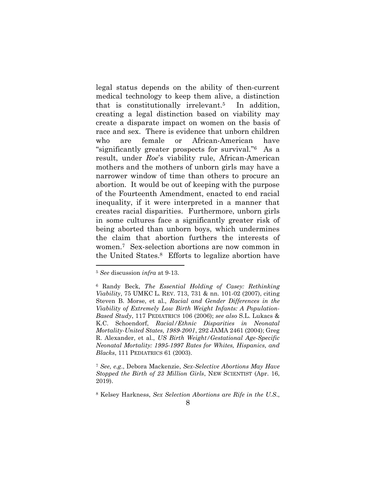legal status depends on the ability of then-current medical technology to keep them alive, a distinction that is constitutionally irrelevant.5 In addition, creating a legal distinction based on viability may create a disparate impact on women on the basis of race and sex. There is evidence that unborn children who are female or African-American have "significantly greater prospects for survival."6 As a result, under Roe's viability rule, African-American mothers and the mothers of unborn girls may have a narrower window of time than others to procure an abortion. It would be out of keeping with the purpose of the Fourteenth Amendment, enacted to end racial inequality, if it were interpreted in a manner that creates racial disparities. Furthermore, unborn girls in some cultures face a significantly greater risk of being aborted than unborn boys, which undermines the claim that abortion furthers the interests of women.7 Sex-selection abortions are now common in the United States.8 Efforts to legalize abortion have

<sup>5</sup> See discussion infra at 9-13.

<sup>6</sup> Randy Beck, The Essential Holding of Casey: Rethinking Viability, 75 UMKC L. REV. 713, 731 & nn. 101-02 (2007), citing Steven B. Morse, et al., Racial and Gender Differences in the Viability of Extremely Low Birth Weight Infants: A Population-Based Study, 117 PEDIATRICS 106 (2006); see also S.L. Lukacs & K.C. Schoendorf, Racial/Ethnic Disparities in Neonatal Mortality-United States, 1989-2001, 292 JAMA 2461 (2004); Greg R. Alexander, et al., US Birth Weight/Gestational Age-Specific Neonatal Mortality: 1995-1997 Rates for Whites, Hispanics, and Blacks, 111 PEDIATRICS 61 (2003).

<sup>7</sup> See, e.g., Debora Mackenzie, Sex-Selective Abortions May Have Stopped the Birth of 23 Million Girls, NEW SCIENTIST (Apr. 16, 2019).

<sup>8</sup> Kelsey Harkness, Sex Selection Abortions are Rife in the U.S.,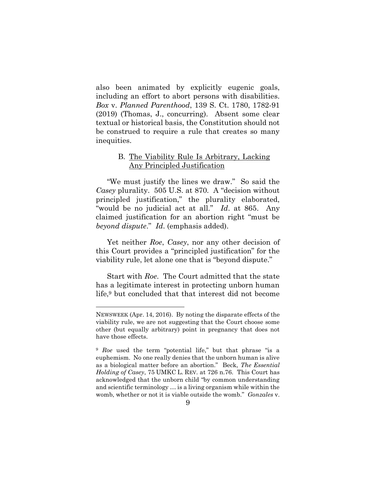also been animated by explicitly eugenic goals, including an effort to abort persons with disabilities. Box v. Planned Parenthood, 139 S. Ct. 1780, 1782-91 (2019) (Thomas, J., concurring). Absent some clear textual or historical basis, the Constitution should not be construed to require a rule that creates so many inequities.

#### B. The Viability Rule Is Arbitrary, Lacking Any Principled Justification

"We must justify the lines we draw." So said the Casey plurality. 505 U.S. at 870. A "decision without principled justification," the plurality elaborated, "would be no judicial act at all." Id. at 865. Any claimed justification for an abortion right "must be beyond dispute." Id. (emphasis added).

Yet neither Roe, Casey, nor any other decision of this Court provides a "principled justification" for the viability rule, let alone one that is "beyond dispute."

Start with Roe. The Court admitted that the state has a legitimate interest in protecting unborn human life,9 but concluded that that interest did not become

NEWSWEEK (Apr. 14, 2016). By noting the disparate effects of the viability rule, we are not suggesting that the Court choose some other (but equally arbitrary) point in pregnancy that does not have those effects.

<sup>9</sup> Roe used the term "potential life," but that phrase "is a euphemism. No one really denies that the unborn human is alive as a biological matter before an abortion." Beck, The Essential Holding of Casey, 75 UMKC L. REV. at 726 n.76. This Court has acknowledged that the unborn child "by common understanding and scientific terminology … is a living organism while within the womb, whether or not it is viable outside the womb." Gonzales v.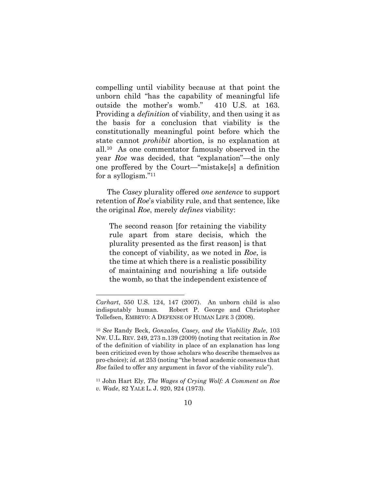compelling until viability because at that point the unborn child "has the capability of meaningful life outside the mother's womb." 410 U.S. at 163. Providing a definition of viability, and then using it as the basis for a conclusion that viability is the constitutionally meaningful point before which the state cannot prohibit abortion, is no explanation at all.10 As one commentator famously observed in the year Roe was decided, that "explanation"—the only one proffered by the Court—"mistake[s] a definition for a syllogism."<sup>11</sup>

The Casey plurality offered one sentence to support retention of Roe's viability rule, and that sentence, like the original Roe, merely defines viability:

The second reason [for retaining the viability rule apart from stare decisis, which the plurality presented as the first reason] is that the concept of viability, as we noted in Roe, is the time at which there is a realistic possibility of maintaining and nourishing a life outside the womb, so that the independent existence of

Carhart, 550 U.S. 124, 147 (2007). An unborn child is also indisputably human. Robert P. George and Christopher Tollefsen, EMBRYO: A DEFENSE OF HUMAN LIFE 3 (2008).

<sup>10</sup> See Randy Beck, Gonzales, Casey, and the Viability Rule, 103 NW. U.L. REV. 249, 273 n.139 (2009) (noting that recitation in Roe of the definition of viability in place of an explanation has long been criticized even by those scholars who describe themselves as pro-choice); id. at 253 (noting "the broad academic consensus that Roe failed to offer any argument in favor of the viability rule").

<sup>11</sup> John Hart Ely, The Wages of Crying Wolf: A Comment on Roe v. Wade, 82 YALE L. J. 920, 924 (1973).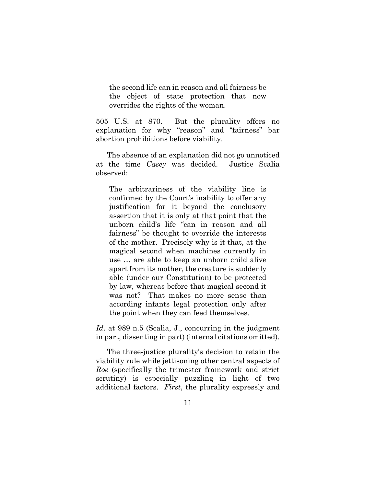the second life can in reason and all fairness be the object of state protection that now overrides the rights of the woman.

505 U.S. at 870. But the plurality offers no explanation for why "reason" and "fairness" bar abortion prohibitions before viability.

The absence of an explanation did not go unnoticed at the time Casey was decided. Justice Scalia observed:

The arbitrariness of the viability line is confirmed by the Court's inability to offer any justification for it beyond the conclusory assertion that it is only at that point that the unborn child's life "can in reason and all fairness" be thought to override the interests of the mother. Precisely why is it that, at the magical second when machines currently in use … are able to keep an unborn child alive apart from its mother, the creature is suddenly able (under our Constitution) to be protected by law, whereas before that magical second it was not? That makes no more sense than according infants legal protection only after the point when they can feed themselves.

Id. at 989 n.5 (Scalia, J., concurring in the judgment in part, dissenting in part) (internal citations omitted).

The three-justice plurality's decision to retain the viability rule while jettisoning other central aspects of Roe (specifically the trimester framework and strict scrutiny) is especially puzzling in light of two additional factors. First, the plurality expressly and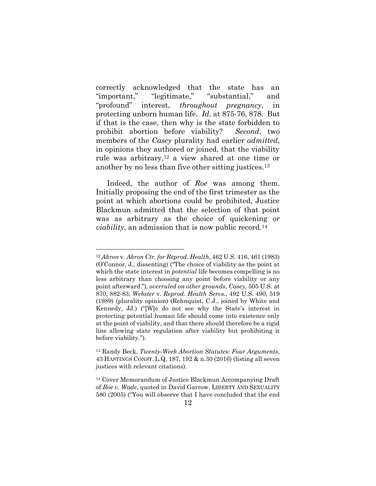correctly acknowledged that the state has an "important," "legitimate," "substantial," and "profound" interest, throughout pregnancy, in protecting unborn human life. Id. at 875-76, 878. But if that is the case, then why is the state forbidden to prohibit abortion before viability? Second, two members of the *Casey* plurality had earlier *admitted*, in opinions they authored or joined, that the viability rule was arbitrary,12 a view shared at one time or another by no less than five other sitting justices.<sup>13</sup>

Indeed, the author of Roe was among them. Initially proposing the end of the first trimester as the point at which abortions could be prohibited, Justice Blackmun admitted that the selection of that point was as arbitrary as the choice of quickening or *viability*, an admission that is now public record.<sup>14</sup>

<sup>12</sup> Akron v. Akron Ctr. for Reprod. Health, 462 U.S. 416, 461 (1983) (O'Connor, J., dissenting) ("The choice of viability as the point at which the state interest in *potential* life becomes compelling is no less arbitrary than choosing any point before viability or any point afterward."), overruled on other grounds, Casey, 505 U.S. at 870, 882-83; Webster v. Reprod. Health Servs., 492 U.S. 490, 519 (1989) (plurality opinion) (Rehnquist, C.J., joined by White and Kennedy, JJ.) ("[W]e do not see why the State's interest in protecting potential human life should come into existence only at the point of viability, and that there should therefore be a rigid line allowing state regulation after viability but prohibiting it before viability.").

<sup>13</sup> Randy Beck, Twenty-Week Abortion Statutes: Four Arguments, 43 HASTINGS CONST. L.Q. 187, 192 & n.30 (2016) (listing all seven justices with relevant citations).

<sup>14</sup> Cover Memorandum of Justice Blackmun Accompanying Draft of Roe v. Wade, quoted in David Garrow, LIBERTY AND SEXUALITY 580 (2005) ("You will observe that I have concluded that the end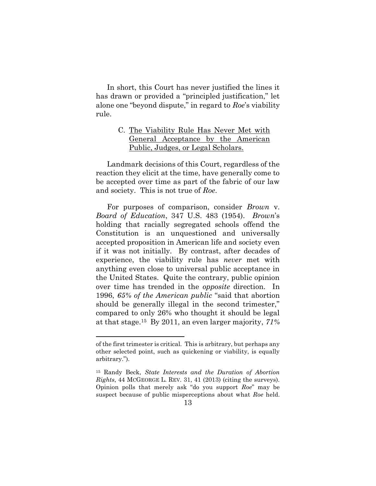In short, this Court has never justified the lines it has drawn or provided a "principled justification," let alone one "beyond dispute," in regard to Roe's viability rule.

## C. The Viability Rule Has Never Met with General Acceptance by the American Public, Judges, or Legal Scholars.

Landmark decisions of this Court, regardless of the reaction they elicit at the time, have generally come to be accepted over time as part of the fabric of our law and society. This is not true of Roe.

For purposes of comparison, consider Brown v. Board of Education, 347 U.S. 483 (1954). Brown's holding that racially segregated schools offend the Constitution is an unquestioned and universally accepted proposition in American life and society even if it was not initially. By contrast, after decades of experience, the viability rule has never met with anything even close to universal public acceptance in the United States. Quite the contrary, public opinion over time has trended in the opposite direction. In 1996, 65% of the American public "said that abortion should be generally illegal in the second trimester," compared to only 26% who thought it should be legal at that stage.15 By 2011, an even larger majority, 71%

of the first trimester is critical. This is arbitrary, but perhaps any other selected point, such as quickening or viability, is equally arbitrary.").

<sup>15</sup> Randy Beck, State Interests and the Duration of Abortion Rights, 44 MCGEORGE L. REV. 31, 41 (2013) (citing the surveys). Opinion polls that merely ask "do you support Roe" may be suspect because of public misperceptions about what Roe held.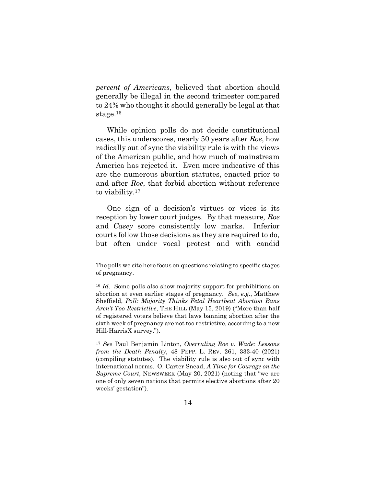percent of Americans, believed that abortion should generally be illegal in the second trimester compared to 24% who thought it should generally be legal at that stage.<sup>16</sup>

While opinion polls do not decide constitutional cases, this underscores, nearly 50 years after Roe, how radically out of sync the viability rule is with the views of the American public, and how much of mainstream America has rejected it. Even more indicative of this are the numerous abortion statutes, enacted prior to and after Roe, that forbid abortion without reference to viability.<sup>17</sup>

One sign of a decision's virtues or vices is its reception by lower court judges. By that measure, Roe and Casey score consistently low marks. Inferior courts follow those decisions as they are required to do, but often under vocal protest and with candid

The polls we cite here focus on questions relating to specific stages of pregnancy.

<sup>16</sup> Id. Some polls also show majority support for prohibitions on abortion at even earlier stages of pregnancy. See, e.g., Matthew Sheffield, Poll: Majority Thinks Fetal Heartbeat Abortion Bans Aren't Too Restrictive, THE HILL (May 15, 2019) ("More than half of registered voters believe that laws banning abortion after the sixth week of pregnancy are not too restrictive, according to a new Hill-HarrisX survey.").

<sup>17</sup> See Paul Benjamin Linton, Overruling Roe v. Wade: Lessons from the Death Penalty, 48 PEPP. L. REV. 261, 333-40 (2021) (compiling statutes). The viability rule is also out of sync with international norms. O. Carter Snead, A Time for Courage on the Supreme Court, NEWSWEEK (May 20, 2021) (noting that "we are one of only seven nations that permits elective abortions after 20 weeks' gestation").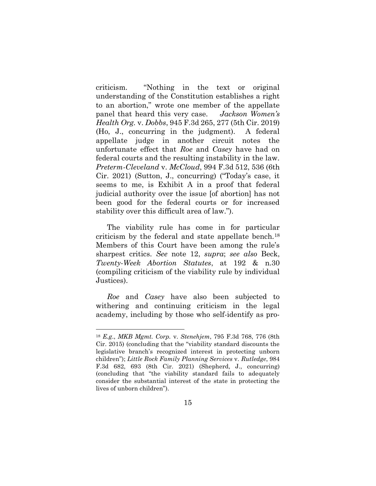criticism. "Nothing in the text or original understanding of the Constitution establishes a right to an abortion," wrote one member of the appellate panel that heard this very case. Jackson Women's Health Org. v. Dobbs, 945 F.3d 265, 277 (5th Cir. 2019) (Ho, J., concurring in the judgment). A federal appellate judge in another circuit notes the unfortunate effect that Roe and Casey have had on federal courts and the resulting instability in the law. Preterm-Cleveland v. McCloud, 994 F.3d 512, 536 (6th Cir. 2021) (Sutton, J., concurring) ("Today's case, it seems to me, is Exhibit A in a proof that federal judicial authority over the issue [of abortion] has not been good for the federal courts or for increased stability over this difficult area of law.").

The viability rule has come in for particular criticism by the federal and state appellate bench.<sup>18</sup> Members of this Court have been among the rule's sharpest critics. See note 12, supra; see also Beck, Twenty-Week Abortion Statutes, at 192 & n.30 (compiling criticism of the viability rule by individual Justices).

Roe and Casey have also been subjected to withering and continuing criticism in the legal academy, including by those who self-identify as pro-

<sup>18</sup> E.g., MKB Mgmt. Corp. v. Stenehjem, 795 F.3d 768, 776 (8th Cir. 2015) (concluding that the "viability standard discounts the legislative branch's recognized interest in protecting unborn children"); Little Rock Family Planning Services v. Rutledge, 984 F.3d 682, 693 (8th Cir. 2021) (Shepherd, J., concurring) (concluding that "the viability standard fails to adequately consider the substantial interest of the state in protecting the lives of unborn children").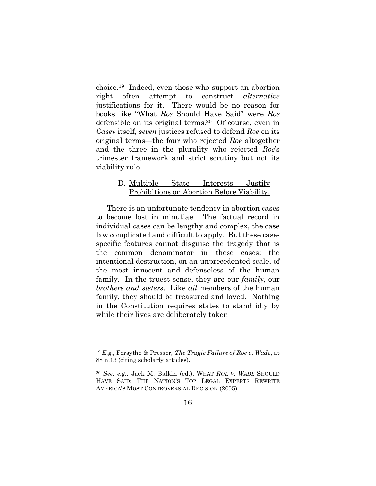choice.19 Indeed, even those who support an abortion right often attempt to construct alternative justifications for it. There would be no reason for books like "What Roe Should Have Said" were Roe defensible on its original terms.20 Of course, even in Casey itself, seven justices refused to defend Roe on its original terms—the four who rejected Roe altogether and the three in the plurality who rejected Roe's trimester framework and strict scrutiny but not its viability rule.

### D. Multiple State Interests Justify Prohibitions on Abortion Before Viability.

There is an unfortunate tendency in abortion cases to become lost in minutiae. The factual record in individual cases can be lengthy and complex, the case law complicated and difficult to apply. But these casespecific features cannot disguise the tragedy that is the common denominator in these cases: the intentional destruction, on an unprecedented scale, of the most innocent and defenseless of the human family. In the truest sense, they are our *family*, our brothers and sisters. Like all members of the human family, they should be treasured and loved. Nothing in the Constitution requires states to stand idly by while their lives are deliberately taken.

 $19 E.g.,$  Forsythe & Presser, The Tragic Failure of Roe v. Wade, at 88 n.13 (citing scholarly articles).

<sup>20</sup> See, e.g., Jack M. Balkin (ed.), WHAT ROE V. WADE SHOULD HAVE SAID: THE NATION'S TOP LEGAL EXPERTS REWRITE AMERICA'S MOST CONTROVERSIAL DECISION (2005).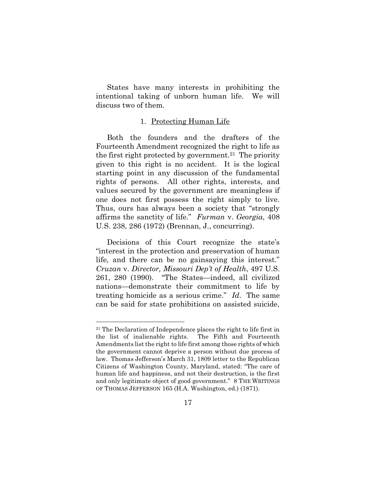States have many interests in prohibiting the intentional taking of unborn human life. We will discuss two of them.

#### 1. Protecting Human Life

Both the founders and the drafters of the Fourteenth Amendment recognized the right to life as the first right protected by government.<sup>21</sup> The priority given to this right is no accident. It is the logical starting point in any discussion of the fundamental rights of persons. All other rights, interests, and values secured by the government are meaningless if one does not first possess the right simply to live. Thus, ours has always been a society that "strongly affirms the sanctity of life." Furman v. Georgia, 408 U.S. 238, 286 (1972) (Brennan, J., concurring).

Decisions of this Court recognize the state's "interest in the protection and preservation of human life, and there can be no gainsaying this interest." Cruzan v. Director, Missouri Dep't of Health, 497 U.S. 261, 280 (1990). "The States—indeed, all civilized nations—demonstrate their commitment to life by treating homicide as a serious crime." Id. The same can be said for state prohibitions on assisted suicide,

 $21$  The Declaration of Independence places the right to life first in the list of inalienable rights. The Fifth and Fourteenth Amendments list the right to life first among those rights of which the government cannot deprive a person without due process of law. Thomas Jefferson's March 31, 1809 letter to the Republican Citizens of Washington County, Maryland, stated: "The care of human life and happiness, and not their destruction, is the first and only legitimate object of good government." 8 THE WRITINGS OF THOMAS JEFFERSON 165 (H.A. Washington, ed.) (1871).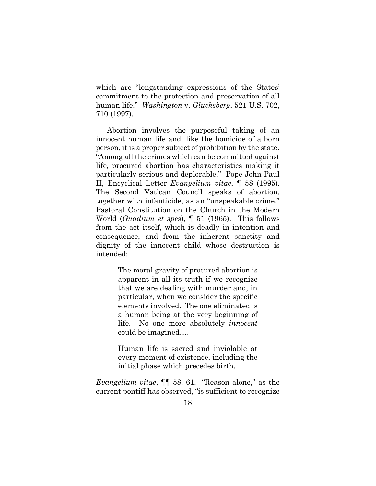which are "longstanding expressions of the States' commitment to the protection and preservation of all human life." *Washington v. Glucksberg*, 521 U.S. 702, 710 (1997).

Abortion involves the purposeful taking of an innocent human life and, like the homicide of a born person, it is a proper subject of prohibition by the state. "Among all the crimes which can be committed against life, procured abortion has characteristics making it particularly serious and deplorable." Pope John Paul II, Encyclical Letter Evangelium vitae, ¶ 58 (1995). The Second Vatican Council speaks of abortion, together with infanticide, as an "unspeakable crime." Pastoral Constitution on the Church in the Modern World (Guadium et spes), ¶ 51 (1965). This follows from the act itself, which is deadly in intention and consequence, and from the inherent sanctity and dignity of the innocent child whose destruction is intended:

> The moral gravity of procured abortion is apparent in all its truth if we recognize that we are dealing with murder and, in particular, when we consider the specific elements involved. The one eliminated is a human being at the very beginning of life. No one more absolutely *innocent* could be imagined….

> Human life is sacred and inviolable at every moment of existence, including the initial phase which precedes birth.

Evangelium vitae, ¶¶ 58, 61. "Reason alone," as the current pontiff has observed, "is sufficient to recognize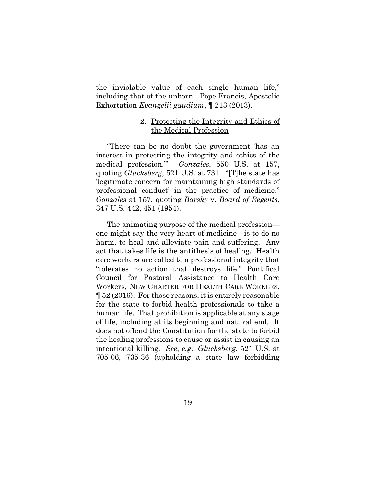the inviolable value of each single human life," including that of the unborn. Pope Francis, Apostolic Exhortation Evangelii gaudium, ¶ 213 (2013).

#### 2. Protecting the Integrity and Ethics of the Medical Profession

"There can be no doubt the government 'has an interest in protecting the integrity and ethics of the medical profession." Gonzales, 550 U.S. at 157, quoting Glucksberg, 521 U.S. at 731. "[T]he state has 'legitimate concern for maintaining high standards of professional conduct' in the practice of medicine." Gonzales at 157, quoting Barsky v. Board of Regents, 347 U.S. 442, 451 (1954).

The animating purpose of the medical profession one might say the very heart of medicine—is to do no harm, to heal and alleviate pain and suffering. Any act that takes life is the antithesis of healing. Health care workers are called to a professional integrity that "tolerates no action that destroys life." Pontifical Council for Pastoral Assistance to Health Care Workers, NEW CHARTER FOR HEALTH CARE WORKERS, ¶ 52 (2016). For those reasons, it is entirely reasonable for the state to forbid health professionals to take a human life. That prohibition is applicable at any stage of life, including at its beginning and natural end. It does not offend the Constitution for the state to forbid the healing professions to cause or assist in causing an intentional killing. See, e.g., Glucksberg, 521 U.S. at 705-06, 735-36 (upholding a state law forbidding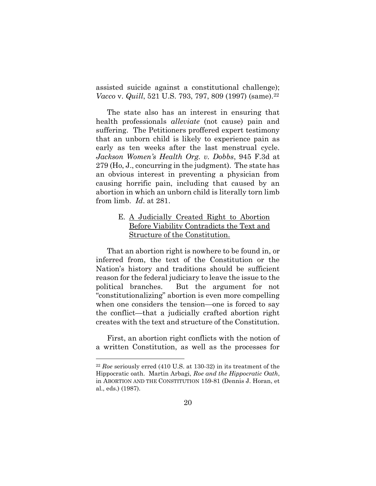assisted suicide against a constitutional challenge); Vacco v. Quill, 521 U.S. 793, 797, 809 (1997) (same).<sup>22</sup>

The state also has an interest in ensuring that health professionals *alleviate* (not cause) pain and suffering. The Petitioners proffered expert testimony that an unborn child is likely to experience pain as early as ten weeks after the last menstrual cycle. Jackson Women's Health Org. v. Dobbs, 945 F.3d at 279 (Ho, J., concurring in the judgment). The state has an obvious interest in preventing a physician from causing horrific pain, including that caused by an abortion in which an unborn child is literally torn limb from limb. Id. at 281.

## E. A Judicially Created Right to Abortion Before Viability Contradicts the Text and Structure of the Constitution.

That an abortion right is nowhere to be found in, or inferred from, the text of the Constitution or the Nation's history and traditions should be sufficient reason for the federal judiciary to leave the issue to the political branches. But the argument for not "constitutionalizing" abortion is even more compelling when one considers the tension—one is forced to say the conflict—that a judicially crafted abortion right creates with the text and structure of the Constitution.

First, an abortion right conflicts with the notion of a written Constitution, as well as the processes for

 $22$  Roe seriously erred (410 U.S. at 130-32) in its treatment of the Hippocratic oath. Martin Arbagi, Roe and the Hippocratic Oath, in ABORTION AND THE CONSTITUTION 159-81 (Dennis J. Horan, et al., eds.) (1987).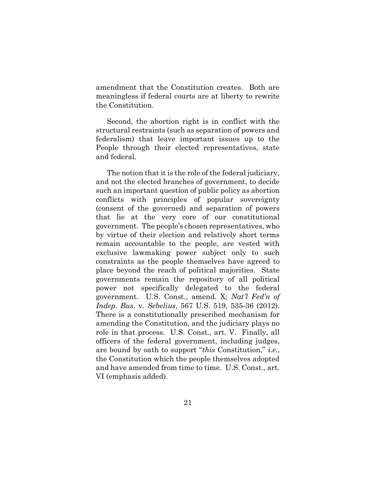amendment that the Constitution creates. Both are meaningless if federal courts are at liberty to rewrite the Constitution.

Second, the abortion right is in conflict with the structural restraints (such as separation of powers and federalism) that leave important issues up to the People through their elected representatives, state and federal.

The notion that it is the role of the federal judiciary, and not the elected branches of government, to decide such an important question of public policy as abortion conflicts with principles of popular sovereignty (consent of the governed) and separation of powers that lie at the very core of our constitutional government. The people's chosen representatives, who by virtue of their election and relatively short terms remain accountable to the people, are vested with exclusive lawmaking power subject only to such constraints as the people themselves have agreed to place beyond the reach of political majorities. State governments remain the repository of all political power not specifically delegated to the federal government. U.S. Const., amend. X; Nat'l Fed'n of Indep. Bus. v. Sebelius, 567 U.S. 519, 535-36 (2012). There is a constitutionally prescribed mechanism for amending the Constitution, and the judiciary plays no role in that process. U.S. Const., art. V. Finally, all officers of the federal government, including judges, are bound by oath to support "this Constitution," i.e., the Constitution which the people themselves adopted and have amended from time to time. U.S. Const., art. VI (emphasis added).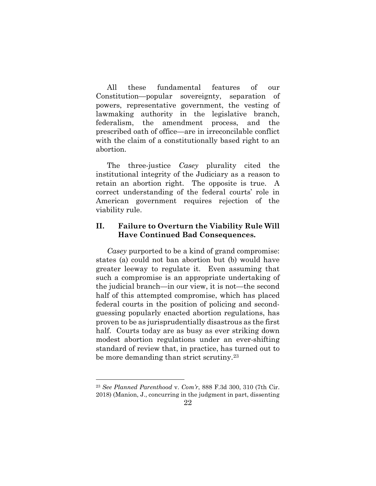All these fundamental features of our Constitution—popular sovereignty, separation of powers, representative government, the vesting of lawmaking authority in the legislative branch, federalism, the amendment process, and the prescribed oath of office—are in irreconcilable conflict with the claim of a constitutionally based right to an abortion.

The three-justice *Casey* plurality cited the institutional integrity of the Judiciary as a reason to retain an abortion right. The opposite is true. A correct understanding of the federal courts' role in American government requires rejection of the viability rule.

## II. Failure to Overturn the Viability Rule Will Have Continued Bad Consequences.

Casey purported to be a kind of grand compromise: states (a) could not ban abortion but (b) would have greater leeway to regulate it. Even assuming that such a compromise is an appropriate undertaking of the judicial branch—in our view, it is not—the second half of this attempted compromise, which has placed federal courts in the position of policing and secondguessing popularly enacted abortion regulations, has proven to be as jurisprudentially disastrous as the first half. Courts today are as busy as ever striking down modest abortion regulations under an ever-shifting standard of review that, in practice, has turned out to be more demanding than strict scrutiny.<sup>23</sup>

<sup>23</sup> See Planned Parenthood v. Com'r, 888 F.3d 300, 310 (7th Cir.

<sup>2018) (</sup>Manion, J., concurring in the judgment in part, dissenting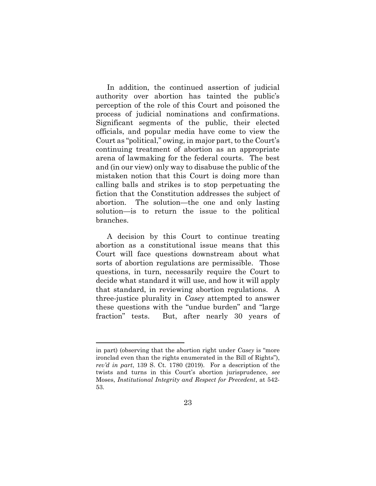In addition, the continued assertion of judicial authority over abortion has tainted the public's perception of the role of this Court and poisoned the process of judicial nominations and confirmations. Significant segments of the public, their elected officials, and popular media have come to view the Court as "political," owing, in major part, to the Court's continuing treatment of abortion as an appropriate arena of lawmaking for the federal courts. The best and (in our view) only way to disabuse the public of the mistaken notion that this Court is doing more than calling balls and strikes is to stop perpetuating the fiction that the Constitution addresses the subject of abortion. The solution—the one and only lasting solution—is to return the issue to the political branches.

A decision by this Court to continue treating abortion as a constitutional issue means that this Court will face questions downstream about what sorts of abortion regulations are permissible. Those questions, in turn, necessarily require the Court to decide what standard it will use, and how it will apply that standard, in reviewing abortion regulations. A three-justice plurality in Casey attempted to answer these questions with the "undue burden" and "large fraction" tests. But, after nearly 30 years of

in part) (observing that the abortion right under Casey is "more ironclad even than the rights enumerated in the Bill of Rights"), rev'd in part, 139 S. Ct. 1780 (2019). For a description of the twists and turns in this Court's abortion jurisprudence, see Moses, Institutional Integrity and Respect for Precedent, at 542- 53.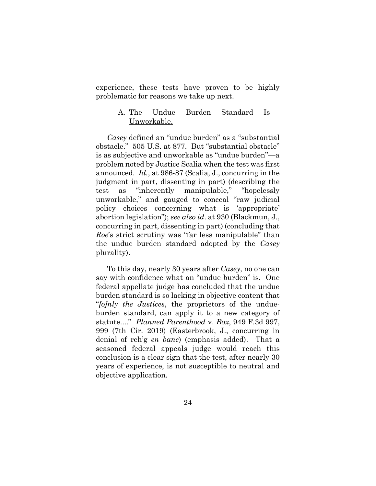experience, these tests have proven to be highly problematic for reasons we take up next.

#### A. The Undue Burden Standard Is Unworkable.

Casey defined an "undue burden" as a "substantial obstacle." 505 U.S. at 877. But "substantial obstacle" is as subjective and unworkable as "undue burden"—a problem noted by Justice Scalia when the test was first announced. Id., at 986-87 (Scalia, J., concurring in the judgment in part, dissenting in part) (describing the test as "inherently manipulable," "hopelessly unworkable," and gauged to conceal "raw judicial policy choices concerning what is 'appropriate' abortion legislation"); see also id. at 930 (Blackmun, J., concurring in part, dissenting in part) (concluding that Roe's strict scrutiny was "far less manipulable" than the undue burden standard adopted by the Casey plurality).

To this day, nearly 30 years after Casey, no one can say with confidence what an "undue burden" is. One federal appellate judge has concluded that the undue burden standard is so lacking in objective content that "folnly the Justices, the proprietors of the undueburden standard, can apply it to a new category of statute...." Planned Parenthood v. Box, 949 F.3d 997, 999 (7th Cir. 2019) (Easterbrook, J., concurring in denial of reh'g en banc) (emphasis added). That a seasoned federal appeals judge would reach this conclusion is a clear sign that the test, after nearly 30 years of experience, is not susceptible to neutral and objective application.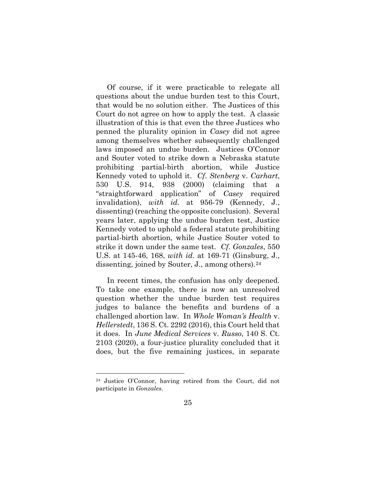Of course, if it were practicable to relegate all questions about the undue burden test to this Court, that would be no solution either. The Justices of this Court do not agree on how to apply the test. A classic illustration of this is that even the three Justices who penned the plurality opinion in Casey did not agree among themselves whether subsequently challenged laws imposed an undue burden. Justices O'Connor and Souter voted to strike down a Nebraska statute prohibiting partial-birth abortion, while Justice Kennedy voted to uphold it. Cf. Stenberg v. Carhart, 530 U.S. 914, 938 (2000) (claiming that a "straightforward application" of Casey required invalidation), with id. at 956-79 (Kennedy, J., dissenting) (reaching the opposite conclusion). Several years later, applying the undue burden test, Justice Kennedy voted to uphold a federal statute prohibiting partial-birth abortion, while Justice Souter voted to strike it down under the same test. Cf. Gonzales, 550 U.S. at 145-46, 168, with id. at 169-71 (Ginsburg, J., dissenting, joined by Souter, J., among others).<sup>24</sup>

In recent times, the confusion has only deepened. To take one example, there is now an unresolved question whether the undue burden test requires judges to balance the benefits and burdens of a challenged abortion law. In Whole Woman's Health v. Hellerstedt, 136 S. Ct. 2292 (2016), this Court held that it does. In June Medical Services v. Russo, 140 S. Ct. 2103 (2020), a four-justice plurality concluded that it does, but the five remaining justices, in separate

<sup>24</sup> Justice O'Connor, having retired from the Court, did not participate in Gonzales.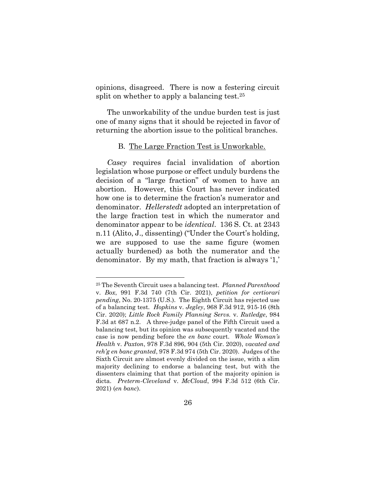opinions, disagreed. There is now a festering circuit split on whether to apply a balancing test.<sup>25</sup>

The unworkability of the undue burden test is just one of many signs that it should be rejected in favor of returning the abortion issue to the political branches.

#### B. The Large Fraction Test is Unworkable.

Casey requires facial invalidation of abortion legislation whose purpose or effect unduly burdens the decision of a "large fraction" of women to have an abortion. However, this Court has never indicated how one is to determine the fraction's numerator and denominator. Hellerstedt adopted an interpretation of the large fraction test in which the numerator and denominator appear to be identical. 136 S. Ct. at 2343 n.11 (Alito, J., dissenting) ("Under the Court's holding, we are supposed to use the same figure (women actually burdened) as both the numerator and the denominator. By my math, that fraction is always '1,'

<sup>25</sup> The Seventh Circuit uses a balancing test. Planned Parenthood v. Box, 991 F.3d 740 (7th Cir. 2021), petition for certiorari pending, No. 20-1375 (U.S.). The Eighth Circuit has rejected use of a balancing test. Hopkins v. Jegley, 968 F.3d 912, 915-16 (8th Cir. 2020); Little Rock Family Planning Servs. v. Rutledge, 984 F.3d at 687 n.2. A three-judge panel of the Fifth Circuit used a balancing test, but its opinion was subsequently vacated and the case is now pending before the en banc court. Whole Woman's Health v. Paxton, 978 F.3d 896, 904 (5th Cir. 2020), vacated and reh'g en banc granted, 978 F.3d 974 (5th Cir. 2020). Judges of the Sixth Circuit are almost evenly divided on the issue, with a slim majority declining to endorse a balancing test, but with the dissenters claiming that that portion of the majority opinion is dicta. Preterm-Cleveland v. McCloud, 994 F.3d 512 (6th Cir. 2021) (en banc).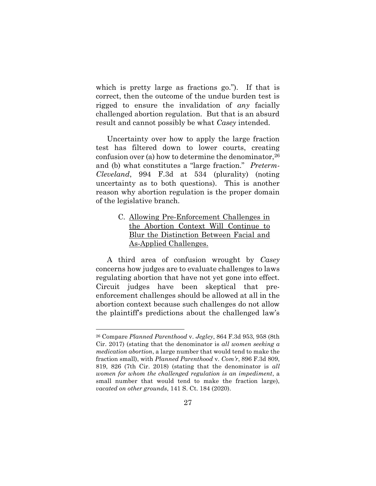which is pretty large as fractions go."). If that is correct, then the outcome of the undue burden test is rigged to ensure the invalidation of any facially challenged abortion regulation. But that is an absurd result and cannot possibly be what *Casey* intended.

Uncertainty over how to apply the large fraction test has filtered down to lower courts, creating confusion over (a) how to determine the denominator,  $26$ and (b) what constitutes a "large fraction." Preterm-Cleveland, 994 F.3d at 534 (plurality) (noting uncertainty as to both questions). This is another reason why abortion regulation is the proper domain of the legislative branch.

## C. Allowing Pre-Enforcement Challenges in the Abortion Context Will Continue to Blur the Distinction Between Facial and As-Applied Challenges.

A third area of confusion wrought by Casey concerns how judges are to evaluate challenges to laws regulating abortion that have not yet gone into effect. Circuit judges have been skeptical that preenforcement challenges should be allowed at all in the abortion context because such challenges do not allow the plaintiff's predictions about the challenged law's

<sup>26</sup> Compare Planned Parenthood v. Jegley, 864 F.3d 953, 958 (8th Cir. 2017) (stating that the denominator is all women seeking  $\alpha$ medication abortion, a large number that would tend to make the fraction small), with Planned Parenthood v. Com'r, 896 F.3d 809, 819, 826 (7th Cir. 2018) (stating that the denominator is all women for whom the challenged regulation is an impediment, a small number that would tend to make the fraction large), vacated on other grounds, 141 S. Ct. 184 (2020).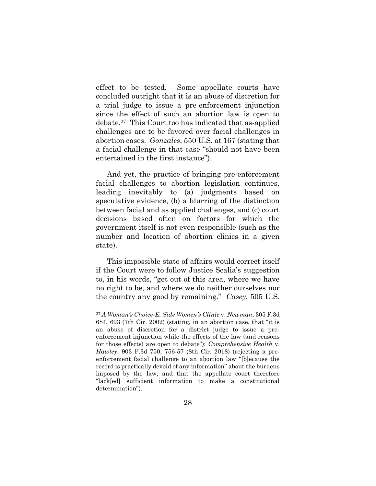effect to be tested. Some appellate courts have concluded outright that it is an abuse of discretion for a trial judge to issue a pre-enforcement injunction since the effect of such an abortion law is open to debate.27 This Court too has indicated that as-applied challenges are to be favored over facial challenges in abortion cases. Gonzales, 550 U.S. at 167 (stating that a facial challenge in that case "should not have been entertained in the first instance").

And yet, the practice of bringing pre-enforcement facial challenges to abortion legislation continues, leading inevitably to (a) judgments based on speculative evidence, (b) a blurring of the distinction between facial and as applied challenges, and (c) court decisions based often on factors for which the government itself is not even responsible (such as the number and location of abortion clinics in a given state).

This impossible state of affairs would correct itself if the Court were to follow Justice Scalia's suggestion to, in his words, "get out of this area, where we have no right to be, and where we do neither ourselves nor the country any good by remaining." Casey, 505 U.S.

<sup>27</sup> A Woman's Choice-E. Side Women's Clinic v. Newman, 305 F.3d 684, 693 (7th Cir. 2002) (stating, in an abortion case, that "it is an abuse of discretion for a district judge to issue a preenforcement injunction while the effects of the law (and reasons for those effects) are open to debate"); Comprehensive Health v. Hawley, 903 F.3d 750, 756-57 (8th Cir. 2018) (rejecting a preenforcement facial challenge to an abortion law "[b]ecause the record is practically devoid of any information" about the burdens imposed by the law, and that the appellate court therefore "lack[ed] sufficient information to make a constitutional determination").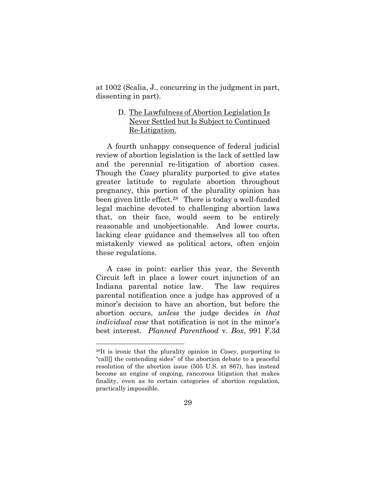at 1002 (Scalia, J., concurring in the judgment in part, dissenting in part).

### D. The Lawfulness of Abortion Legislation Is Never Settled but Is Subject to Continued Re-Litigation.

A fourth unhappy consequence of federal judicial review of abortion legislation is the lack of settled law and the perennial re-litigation of abortion cases. Though the *Casey* plurality purported to give states greater latitude to regulate abortion throughout pregnancy, this portion of the plurality opinion has been given little effect.28 There is today a well-funded legal machine devoted to challenging abortion laws that, on their face, would seem to be entirely reasonable and unobjectionable. And lower courts, lacking clear guidance and themselves all too often mistakenly viewed as political actors, often enjoin these regulations.

A case in point: earlier this year, the Seventh Circuit left in place a lower court injunction of an Indiana parental notice law. The law requires parental notification once a judge has approved of a minor's decision to have an abortion, but before the abortion occurs, unless the judge decides in that individual case that notification is not in the minor's best interest. Planned Parenthood v. Box, 991 F.3d

<sup>&</sup>lt;sup>28</sup>It is ironic that the plurality opinion in *Casey*, purporting to "call[] the contending sides" of the abortion debate to a peaceful resolution of the abortion issue (505 U.S. at 867), has instead become an engine of ongoing, rancorous litigation that makes finality, even as to certain categories of abortion regulation, practically impossible.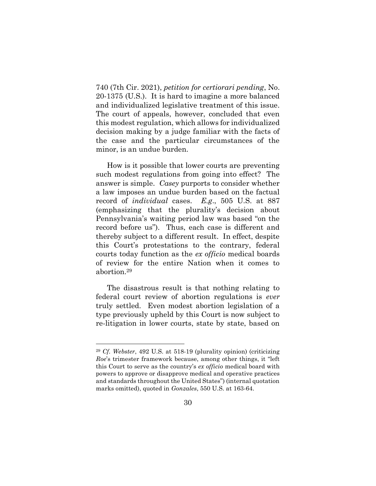740 (7th Cir. 2021), petition for certiorari pending, No. 20-1375 (U.S.). It is hard to imagine a more balanced and individualized legislative treatment of this issue. The court of appeals, however, concluded that even this modest regulation, which allows for individualized decision making by a judge familiar with the facts of the case and the particular circumstances of the minor, is an undue burden.

How is it possible that lower courts are preventing such modest regulations from going into effect? The answer is simple. Casey purports to consider whether a law imposes an undue burden based on the factual record of individual cases. E.g., 505 U.S. at 887 (emphasizing that the plurality's decision about Pennsylvania's waiting period law was based "on the record before us"). Thus, each case is different and thereby subject to a different result. In effect, despite this Court's protestations to the contrary, federal courts today function as the ex officio medical boards of review for the entire Nation when it comes to abortion.<sup>29</sup>

The disastrous result is that nothing relating to federal court review of abortion regulations is ever truly settled. Even modest abortion legislation of a type previously upheld by this Court is now subject to re-litigation in lower courts, state by state, based on

 $29$  Cf. Webster, 492 U.S. at 518-19 (plurality opinion) (criticizing Roe's trimester framework because, among other things, it "left this Court to serve as the country's ex officio medical board with powers to approve or disapprove medical and operative practices and standards throughout the United States") (internal quotation marks omitted), quoted in Gonzales, 550 U.S. at 163-64.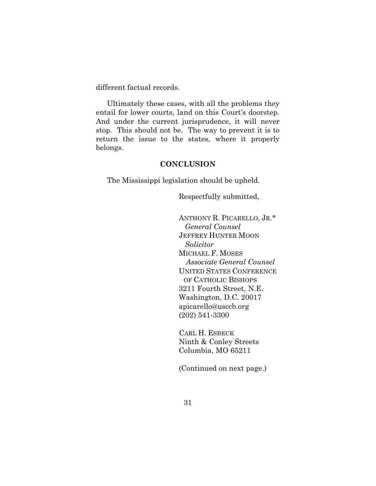different factual records.

Ultimately these cases, with all the problems they entail for lower courts, land on this Court's doorstep. And under the current jurisprudence, it will never stop. This should not be. The way to prevent it is to return the issue to the states, where it properly belongs.

#### **CONCLUSION**

The Mississippi legislation should be upheld.

Respectfully submitted,

ANTHONY R. PICARELLO, JR.\* General Counsel JEFFREY HUNTER MOON Solicitor MICHAEL F. MOSES Associate General Counsel UNITED STATES CONFERENCE OF CATHOLIC BISHOPS 3211 Fourth Street, N.E. Washington, D.C. 20017 apicarello@usccb.org (202) 541-3300

CARL H. ESBECK Ninth & Conley Streets Columbia, MO 65211

(Continued on next page.)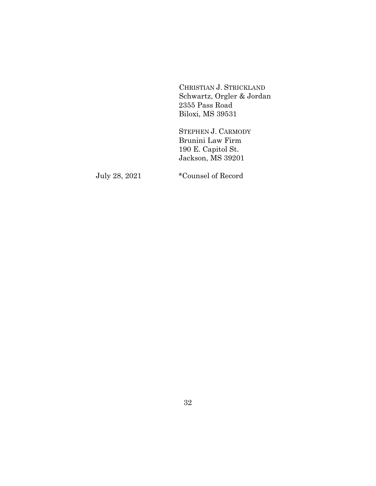CHRISTIAN J. STRICKLAND Schwartz, Orgler & Jordan 2355 Pass Road Biloxi, MS 39531

STEPHEN J. CARMODY Brunini Law Firm 190 E. Capitol St. Jackson, MS 39201

July 28, 2021 \*Counsel of Record